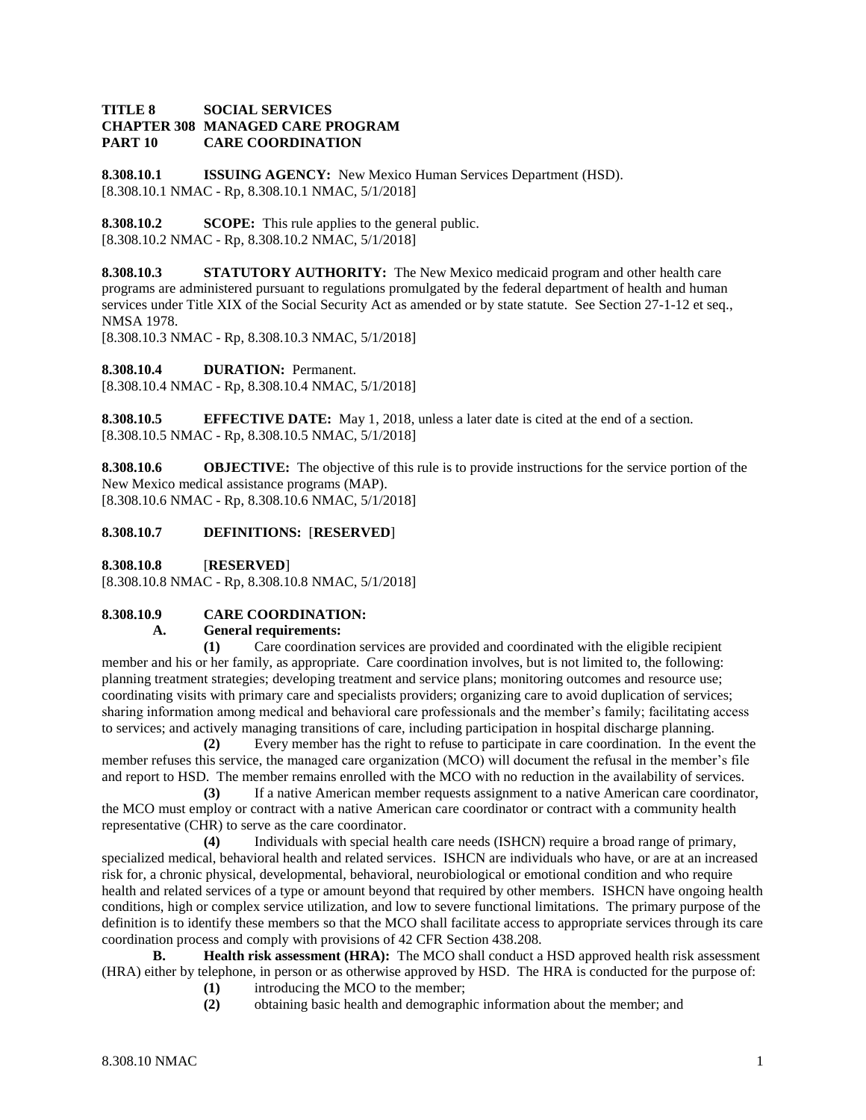## **TITLE 8 SOCIAL SERVICES CHAPTER 308 MANAGED CARE PROGRAM PART 10 CARE COORDINATION**

**8.308.10.1 ISSUING AGENCY:** New Mexico Human Services Department (HSD). [8.308.10.1 NMAC - Rp, 8.308.10.1 NMAC, 5/1/2018]

**8.308.10.2 SCOPE:** This rule applies to the general public. [8.308.10.2 NMAC - Rp, 8.308.10.2 NMAC, 5/1/2018]

**8.308.10.3 STATUTORY AUTHORITY:** The New Mexico medicaid program and other health care programs are administered pursuant to regulations promulgated by the federal department of health and human services under Title XIX of the Social Security Act as amended or by state statute. See Section 27-1-12 et seq., NMSA 1978.

[8.308.10.3 NMAC - Rp, 8.308.10.3 NMAC, 5/1/2018]

**8.308.10.4 DURATION:** Permanent. [8.308.10.4 NMAC - Rp, 8.308.10.4 NMAC, 5/1/2018]

**8.308.10.5 EFFECTIVE DATE:** May 1, 2018, unless a later date is cited at the end of a section. [8.308.10.5 NMAC - Rp, 8.308.10.5 NMAC, 5/1/2018]

**8.308.10.6 OBJECTIVE:** The objective of this rule is to provide instructions for the service portion of the New Mexico medical assistance programs (MAP). [8.308.10.6 NMAC - Rp, 8.308.10.6 NMAC, 5/1/2018]

**8.308.10.7 DEFINITIONS:** [**RESERVED**]

**8.308.10.8** [**RESERVED**]

[8.308.10.8 NMAC - Rp, 8.308.10.8 NMAC, 5/1/2018]

## **8.308.10.9 CARE COORDINATION:**

## **A. General requirements:**

**(1)** Care coordination services are provided and coordinated with the eligible recipient member and his or her family, as appropriate. Care coordination involves, but is not limited to, the following: planning treatment strategies; developing treatment and service plans; monitoring outcomes and resource use; coordinating visits with primary care and specialists providers; organizing care to avoid duplication of services; sharing information among medical and behavioral care professionals and the member's family; facilitating access to services; and actively managing transitions of care, including participation in hospital discharge planning.

**(2)** Every member has the right to refuse to participate in care coordination. In the event the member refuses this service, the managed care organization (MCO) will document the refusal in the member's file and report to HSD. The member remains enrolled with the MCO with no reduction in the availability of services.

**(3)** If a native American member requests assignment to a native American care coordinator, the MCO must employ or contract with a native American care coordinator or contract with a community health representative (CHR) to serve as the care coordinator.

**(4)** Individuals with special health care needs (ISHCN) require a broad range of primary, specialized medical, behavioral health and related services. ISHCN are individuals who have, or are at an increased risk for, a chronic physical, developmental, behavioral, neurobiological or emotional condition and who require health and related services of a type or amount beyond that required by other members. ISHCN have ongoing health conditions, high or complex service utilization, and low to severe functional limitations. The primary purpose of the definition is to identify these members so that the MCO shall facilitate access to appropriate services through its care coordination process and comply with provisions of 42 CFR Section 438.208.

**B. Health risk assessment (HRA):** The MCO shall conduct a HSD approved health risk assessment (HRA) either by telephone, in person or as otherwise approved by HSD. The HRA is conducted for the purpose of:

- **(1)** introducing the MCO to the member;
- **(2)** obtaining basic health and demographic information about the member; and